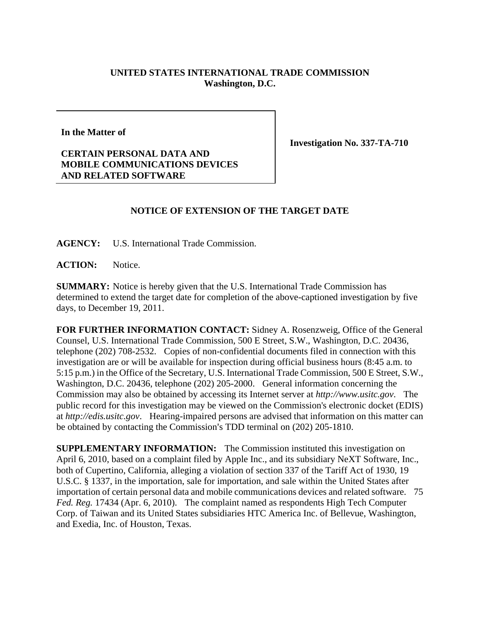## **UNITED STATES INTERNATIONAL TRADE COMMISSION Washington, D.C.**

**In the Matter of** 

**CERTAIN PERSONAL DATA AND MOBILE COMMUNICATIONS DEVICES AND RELATED SOFTWARE** 

**Investigation No. 337-TA-710** 

## **NOTICE OF EXTENSION OF THE TARGET DATE**

**AGENCY:** U.S. International Trade Commission.

**ACTION:** Notice.

**SUMMARY:** Notice is hereby given that the U.S. International Trade Commission has determined to extend the target date for completion of the above-captioned investigation by five days, to December 19, 2011.

**FOR FURTHER INFORMATION CONTACT:** Sidney A. Rosenzweig, Office of the General Counsel, U.S. International Trade Commission, 500 E Street, S.W., Washington, D.C. 20436, telephone (202) 708-2532. Copies of non-confidential documents filed in connection with this investigation are or will be available for inspection during official business hours (8:45 a.m. to 5:15 p.m.) in the Office of the Secretary, U.S. International Trade Commission, 500 E Street, S.W., Washington, D.C. 20436, telephone (202) 205-2000. General information concerning the Commission may also be obtained by accessing its Internet server at *http://www.usitc.gov*. The public record for this investigation may be viewed on the Commission's electronic docket (EDIS) at *http://edis.usitc.gov*. Hearing-impaired persons are advised that information on this matter can be obtained by contacting the Commission's TDD terminal on (202) 205-1810.

**SUPPLEMENTARY INFORMATION:** The Commission instituted this investigation on April 6, 2010, based on a complaint filed by Apple Inc., and its subsidiary NeXT Software, Inc., both of Cupertino, California, alleging a violation of section 337 of the Tariff Act of 1930, 19 U.S.C. § 1337, in the importation, sale for importation, and sale within the United States after importation of certain personal data and mobile communications devices and related software. 75 *Fed. Reg.* 17434 (Apr. 6, 2010). The complaint named as respondents High Tech Computer Corp. of Taiwan and its United States subsidiaries HTC America Inc. of Bellevue, Washington, and Exedia, Inc. of Houston, Texas.